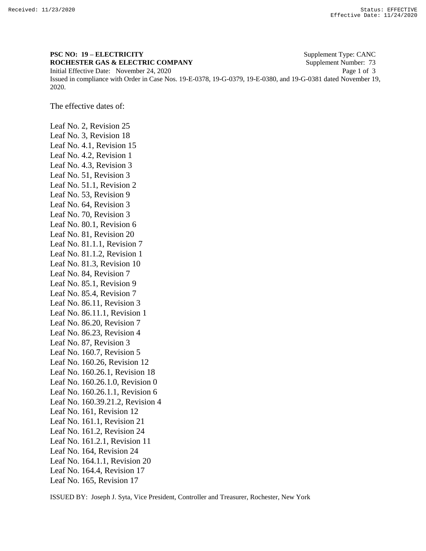## **PSC NO: 19 – ELECTRICITY** Supplement Type: CANC **ROCHESTER GAS & ELECTRIC COMPANY** Supplement Number: 73 Initial Effective Date: November 24, 2020 Page 1 of 3 Issued in compliance with Order in Case Nos. 19-E-0378, 19-G-0379, 19-E-0380, and 19-G-0381 dated November 19, 2020.

The effective dates of:

Leaf No. 2, Revision 25 Leaf No. 3, Revision 18 Leaf No. 4.1, Revision 15 Leaf No. 4.2, Revision 1 Leaf No. 4.3, Revision 3 Leaf No. 51, Revision 3 Leaf No. 51.1, Revision 2 Leaf No. 53, Revision 9 Leaf No. 64, Revision 3 Leaf No. 70, Revision 3 Leaf No. 80.1, Revision 6 Leaf No. 81, Revision 20 Leaf No. 81.1.1, Revision 7 Leaf No. 81.1.2, Revision 1 Leaf No. 81.3, Revision 10 Leaf No. 84, Revision 7 Leaf No. 85.1, Revision 9 Leaf No. 85.4, Revision 7 Leaf No. 86.11, Revision 3 Leaf No. 86.11.1, Revision 1 Leaf No. 86.20, Revision 7 Leaf No. 86.23, Revision 4 Leaf No. 87, Revision 3 Leaf No. 160.7, Revision 5 Leaf No. 160.26, Revision 12 Leaf No. 160.26.1, Revision 18 Leaf No. 160.26.1.0, Revision 0 Leaf No. 160.26.1.1, Revision 6 Leaf No. 160.39.21.2, Revision 4 Leaf No. 161, Revision 12 Leaf No. 161.1, Revision 21 Leaf No. 161.2, Revision 24 Leaf No. 161.2.1, Revision 11 Leaf No. 164, Revision 24 Leaf No. 164.1.1, Revision 20 Leaf No. 164.4, Revision 17 Leaf No. 165, Revision 17

ISSUED BY: Joseph J. Syta, Vice President, Controller and Treasurer, Rochester, New York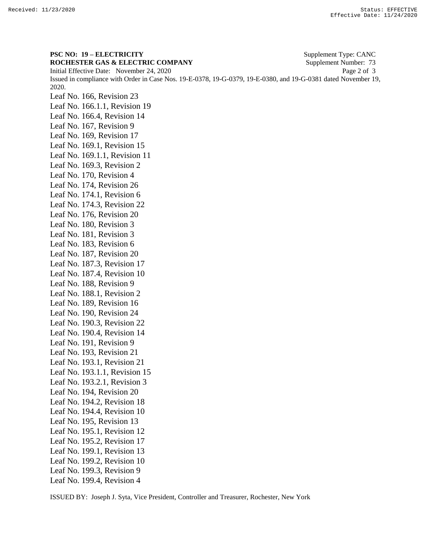**PSC NO: 19 – ELECTRICITY** Supplement Type: CANC **ROCHESTER GAS & ELECTRIC COMPANY** Supplement Number: 73 Initial Effective Date: November 24, 2020 Page 2 of 3 Issued in compliance with Order in Case Nos. 19-E-0378, 19-G-0379, 19-E-0380, and 19-G-0381 dated November 19, 2020. Leaf No. 166, Revision 23 Leaf No. 166.1.1, Revision 19 Leaf No. 166.4, Revision 14 Leaf No. 167, Revision 9 Leaf No. 169, Revision 17 Leaf No. 169.1, Revision 15 Leaf No. 169.1.1, Revision 11 Leaf No. 169.3, Revision 2 Leaf No. 170, Revision 4 Leaf No. 174, Revision 26 Leaf No. 174.1, Revision 6 Leaf No. 174.3, Revision 22 Leaf No. 176, Revision 20 Leaf No. 180, Revision 3 Leaf No. 181, Revision 3 Leaf No. 183, Revision 6 Leaf No. 187, Revision 20 Leaf No. 187.3, Revision 17 Leaf No. 187.4, Revision 10 Leaf No. 188, Revision 9 Leaf No. 188.1, Revision 2 Leaf No. 189, Revision 16 Leaf No. 190, Revision 24 Leaf No. 190.3, Revision 22 Leaf No. 190.4, Revision 14 Leaf No. 191, Revision 9 Leaf No. 193, Revision 21 Leaf No. 193.1, Revision 21 Leaf No. 193.1.1, Revision 15 Leaf No. 193.2.1, Revision 3 Leaf No. 194, Revision 20 Leaf No. 194.2, Revision 18 Leaf No. 194.4, Revision 10 Leaf No. 195, Revision 13 Leaf No. 195.1, Revision 12 Leaf No. 195.2, Revision 17 Leaf No. 199.1, Revision 13 Leaf No. 199.2, Revision 10 Leaf No. 199.3, Revision 9 Leaf No. 199.4, Revision 4

ISSUED BY: Joseph J. Syta, Vice President, Controller and Treasurer, Rochester, New York